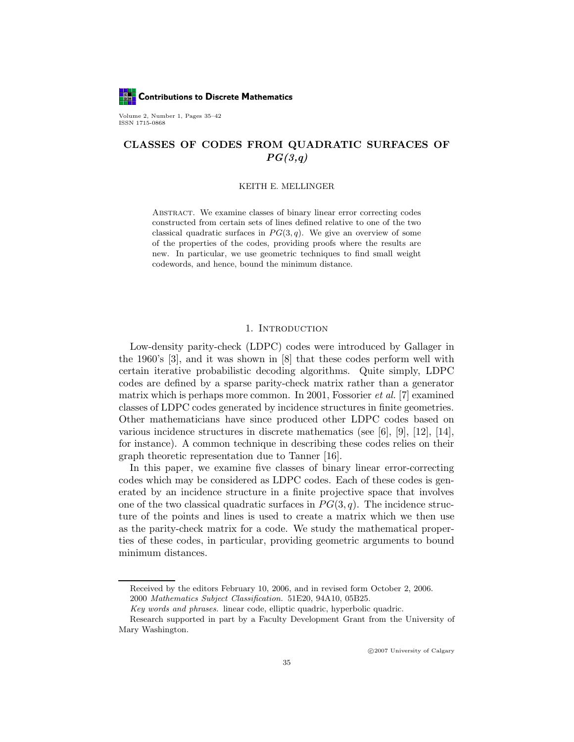**LET** Contributions to Discrete Mathematics

Volume 2, Number 1, Pages 35–42 ISSN 1715-0868

## CLASSES OF CODES FROM QUADRATIC SURFACES OF  $PG(3,q)$

### KEITH E. MELLINGER

Abstract. We examine classes of binary linear error correcting codes constructed from certain sets of lines defined relative to one of the two classical quadratic surfaces in  $PG(3, q)$ . We give an overview of some of the properties of the codes, providing proofs where the results are new. In particular, we use geometric techniques to find small weight codewords, and hence, bound the minimum distance.

### 1. Introduction

Low-density parity-check (LDPC) codes were introduced by Gallager in the 1960's [3], and it was shown in [8] that these codes perform well with certain iterative probabilistic decoding algorithms. Quite simply, LDPC codes are defined by a sparse parity-check matrix rather than a generator matrix which is perhaps more common. In 2001, Fossorier et al. [7] examined classes of LDPC codes generated by incidence structures in finite geometries. Other mathematicians have since produced other LDPC codes based on various incidence structures in discrete mathematics (see [6], [9], [12], [14], for instance). A common technique in describing these codes relies on their graph theoretic representation due to Tanner [16].

In this paper, we examine five classes of binary linear error-correcting codes which may be considered as LDPC codes. Each of these codes is generated by an incidence structure in a finite projective space that involves one of the two classical quadratic surfaces in  $PG(3, q)$ . The incidence structure of the points and lines is used to create a matrix which we then use as the parity-check matrix for a code. We study the mathematical properties of these codes, in particular, providing geometric arguments to bound minimum distances.

c 2007 University of Calgary

Received by the editors February 10, 2006, and in revised form October 2, 2006. 2000 Mathematics Subject Classification. 51E20, 94A10, 05B25.

Key words and phrases. linear code, elliptic quadric, hyperbolic quadric.

Research supported in part by a Faculty Development Grant from the University of Mary Washington.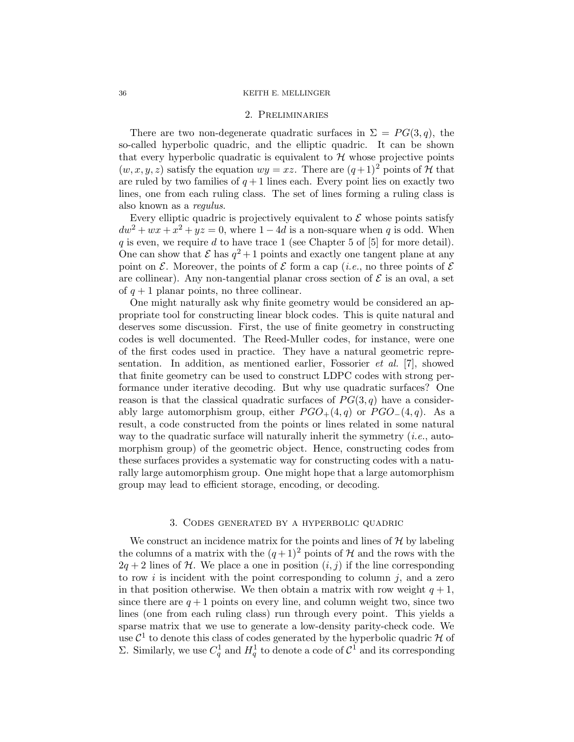### 36 KEITH E. MELLINGER

#### 2. Preliminaries

There are two non-degenerate quadratic surfaces in  $\Sigma = PG(3, q)$ , the so-called hyperbolic quadric, and the elliptic quadric. It can be shown that every hyperbolic quadratic is equivalent to  $H$  whose projective points  $(w, x, y, z)$  satisfy the equation  $wy = xz$ . There are  $(q+1)^2$  points of H that are ruled by two families of  $q+1$  lines each. Every point lies on exactly two lines, one from each ruling class. The set of lines forming a ruling class is also known as a regulus.

Every elliptic quadric is projectively equivalent to  $\mathcal E$  whose points satisfy  $dw^{2} + wx + x^{2} + yz = 0$ , where  $1 - 4d$  is a non-square when q is odd. When q is even, we require d to have trace 1 (see Chapter 5 of  $[5]$  for more detail). One can show that  $\mathcal E$  has  $q^2+1$  points and exactly one tangent plane at any point on  $\mathcal E$ . Moreover, the points of  $\mathcal E$  form a cap (*i.e.*, no three points of  $\mathcal E$ are collinear). Any non-tangential planar cross section of  $\mathcal E$  is an oval, a set of  $q + 1$  planar points, no three collinear.

One might naturally ask why finite geometry would be considered an appropriate tool for constructing linear block codes. This is quite natural and deserves some discussion. First, the use of finite geometry in constructing codes is well documented. The Reed-Muller codes, for instance, were one of the first codes used in practice. They have a natural geometric representation. In addition, as mentioned earlier, Fossorier et al. [7], showed that finite geometry can be used to construct LDPC codes with strong performance under iterative decoding. But why use quadratic surfaces? One reason is that the classical quadratic surfaces of  $PG(3, q)$  have a considerably large automorphism group, either  $PGO_{+}(4,q)$  or  $PGO_{-}(4,q)$ . As a result, a code constructed from the points or lines related in some natural way to the quadratic surface will naturally inherit the symmetry  $(i.e.,$  automorphism group) of the geometric object. Hence, constructing codes from these surfaces provides a systematic way for constructing codes with a naturally large automorphism group. One might hope that a large automorphism group may lead to efficient storage, encoding, or decoding.

### 3. Codes generated by a hyperbolic quadric

We construct an incidence matrix for the points and lines of  $H$  by labeling the columns of a matrix with the  $(q+1)^2$  points of H and the rows with the  $2q + 2$  lines of H. We place a one in position  $(i, j)$  if the line corresponding to row i is incident with the point corresponding to column  $j$ , and a zero in that position otherwise. We then obtain a matrix with row weight  $q + 1$ , since there are  $q + 1$  points on every line, and column weight two, since two lines (one from each ruling class) run through every point. This yields a sparse matrix that we use to generate a low-density parity-check code. We use  $\mathcal{C}^1$  to denote this class of codes generated by the hyperbolic quadric H of Σ. Similarly, we use  $C_q^1$  and  $H_q^1$  to denote a code of  $\mathcal{C}^1$  and its corresponding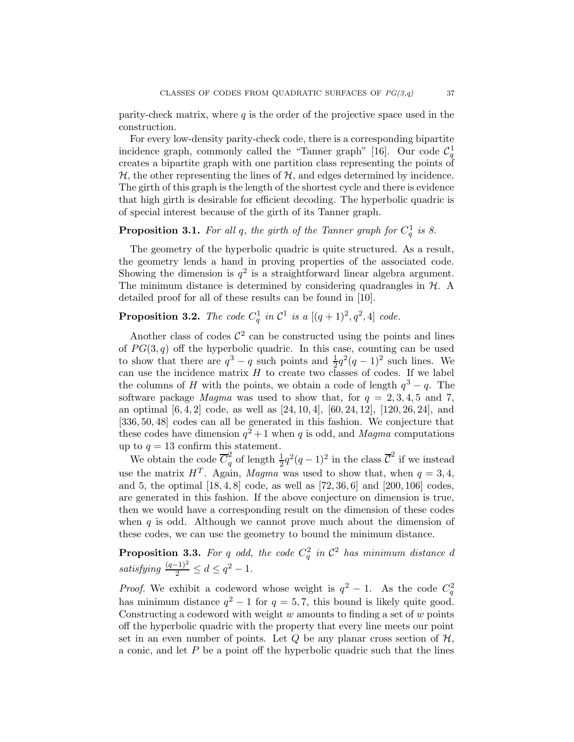parity-check matrix, where  $q$  is the order of the projective space used in the construction.

For every low-density parity-check code, there is a corresponding bipartite incidence graph, commonly called the "Tanner graph" [16]. Our code  $\mathcal{C}_q^1$ creates a bipartite graph with one partition class representing the points of  $H$ , the other representing the lines of  $H$ , and edges determined by incidence. The girth of this graph is the length of the shortest cycle and there is evidence that high girth is desirable for efficient decoding. The hyperbolic quadric is of special interest because of the girth of its Tanner graph.

# **Proposition 3.1.** For all q, the girth of the Tanner graph for  $C_q^1$  is 8.

The geometry of the hyperbolic quadric is quite structured. As a result, the geometry lends a hand in proving properties of the associated code. Showing the dimension is  $q^2$  is a straightforward linear algebra argument. The minimum distance is determined by considering quadrangles in  $H$ . A detailed proof for all of these results can be found in [10].

# **Proposition 3.2.** The code  $C_q^1$  in  $\mathcal{C}^1$  is a  $[(q+1)^2, q^2, 4]$  code.

Another class of codes  $\mathcal{C}^2$  can be constructed using the points and lines of  $PG(3, q)$  off the hyperbolic quadric. In this case, counting can be used to show that there are  $q^3 - q$  such points and  $\frac{1}{2}q^2(q-1)^2$  such lines. We can use the incidence matrix  $H$  to create two classes of codes. If we label the columns of H with the points, we obtain a code of length  $q^3 - q$ . The software package *Magma* was used to show that, for  $q = 2, 3, 4, 5$  and 7, an optimal [6, 4, 2] code, as well as [24, 10, 4], [60, 24, 12], [120, 26, 24], and [336, 50, 48] codes can all be generated in this fashion. We conjecture that these codes have dimension  $q^2+1$  when q is odd, and Magma computations up to  $q = 13$  confirm this statement.

We obtain the code  $\overline{C}_q^2$  $\frac{2}{q}$  of length  $\frac{1}{2}q^2(q-1)^2$  in the class  $\overline{\mathcal{C}}^2$  if we instead use the matrix  $H<sup>T</sup>$ . Again, Magma was used to show that, when  $q = 3, 4$ , and 5, the optimal [18, 4, 8] code, as well as [72, 36, 6] and [200, 106] codes, are generated in this fashion. If the above conjecture on dimension is true, then we would have a corresponding result on the dimension of these codes when  $q$  is odd. Although we cannot prove much about the dimension of these codes, we can use the geometry to bound the minimum distance.

**Proposition 3.3.** For q odd, the code  $C_q^2$  in  $\mathcal{C}^2$  has minimum distance d satisfying  $\frac{(q-1)^2}{2} \leq d \leq q^2 - 1$ .

*Proof.* We exhibit a codeword whose weight is  $q^2 - 1$ . As the code  $C_q^2$ has minimum distance  $q^2 - 1$  for  $q = 5, 7$ , this bound is likely quite good. Constructing a codeword with weight  $w$  amounts to finding a set of  $w$  points off the hyperbolic quadric with the property that every line meets our point set in an even number of points. Let  $Q$  be any planar cross section of  $H$ , a conic, and let  $P$  be a point off the hyperbolic quadric such that the lines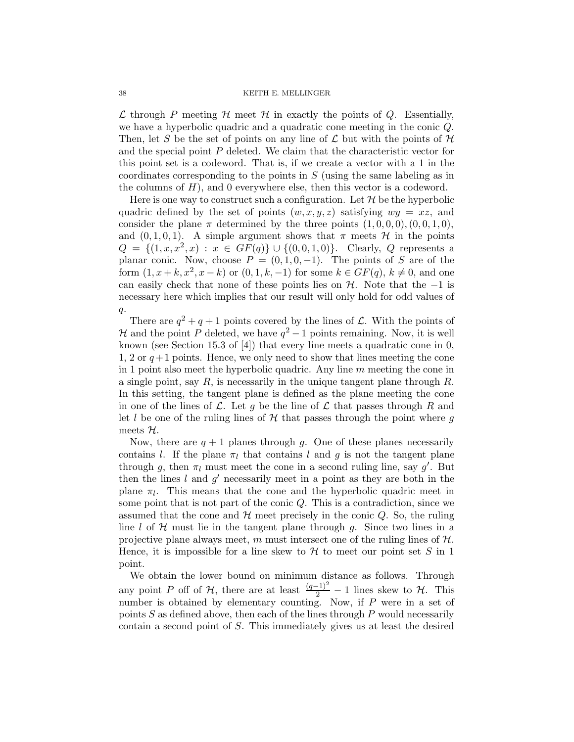$\mathcal L$  through P meeting  $\mathcal H$  meet  $\mathcal H$  in exactly the points of Q. Essentially, we have a hyperbolic quadric and a quadratic cone meeting in the conic Q. Then, let S be the set of points on any line of  $\mathcal L$  but with the points of  $\mathcal H$ and the special point P deleted. We claim that the characteristic vector for this point set is a codeword. That is, if we create a vector with a 1 in the coordinates corresponding to the points in S (using the same labeling as in the columns of  $H$ ), and 0 everywhere else, then this vector is a codeword.

Here is one way to construct such a configuration. Let  $\mathcal H$  be the hyperbolic quadric defined by the set of points  $(w, x, y, z)$  satisfying  $wy = xz$ , and consider the plane  $\pi$  determined by the three points  $(1,0,0,0), (0,0,1,0),$ and  $(0, 1, 0, 1)$ . A simple argument shows that  $\pi$  meets  $\mathcal H$  in the points  $Q = \{(1, x, x^2, x) : x \in GF(q)\} \cup \{(0, 0, 1, 0)\}.$  Clearly, Q represents a planar conic. Now, choose  $P = (0, 1, 0, -1)$ . The points of S are of the form  $(1, x + k, x^2, x - k)$  or  $(0, 1, k, -1)$  for some  $k \in GF(q)$ ,  $k \neq 0$ , and one can easily check that none of these points lies on  $H$ . Note that the −1 is necessary here which implies that our result will only hold for odd values of  $q$ .

There are  $q^2 + q + 1$  points covered by the lines of  $\mathcal{L}$ . With the points of H and the point P deleted, we have  $q^2-1$  points remaining. Now, it is well known (see Section 15.3 of [4]) that every line meets a quadratic cone in 0, 1, 2 or  $q+1$  points. Hence, we only need to show that lines meeting the cone in 1 point also meet the hyperbolic quadric. Any line  $m$  meeting the cone in a single point, say  $R$ , is necessarily in the unique tangent plane through  $R$ . In this setting, the tangent plane is defined as the plane meeting the cone in one of the lines of  $\mathcal L$ . Let g be the line of  $\mathcal L$  that passes through R and let l be one of the ruling lines of  $H$  that passes through the point where q meets  $H$ .

Now, there are  $q + 1$  planes through g. One of these planes necessarily contains l. If the plane  $\pi_l$  that contains l and g is not the tangent plane through g, then  $\pi_l$  must meet the cone in a second ruling line, say g'. But then the lines  $l$  and  $g'$  necessarily meet in a point as they are both in the plane  $\pi_l$ . This means that the cone and the hyperbolic quadric meet in some point that is not part of the conic  $Q$ . This is a contradiction, since we assumed that the cone and  $H$  meet precisely in the conic  $Q$ . So, the ruling line l of  $H$  must lie in the tangent plane through g. Since two lines in a projective plane always meet, m must intersect one of the ruling lines of  $H$ . Hence, it is impossible for a line skew to  $H$  to meet our point set S in 1 point.

We obtain the lower bound on minimum distance as follows. Through any point P off of  $H$ , there are at least  $\frac{(q-1)^2}{2} - 1$  lines skew to  $H$ . This number is obtained by elementary counting. Now, if  $P$  were in a set of points  $S$  as defined above, then each of the lines through  $P$  would necessarily contain a second point of S. This immediately gives us at least the desired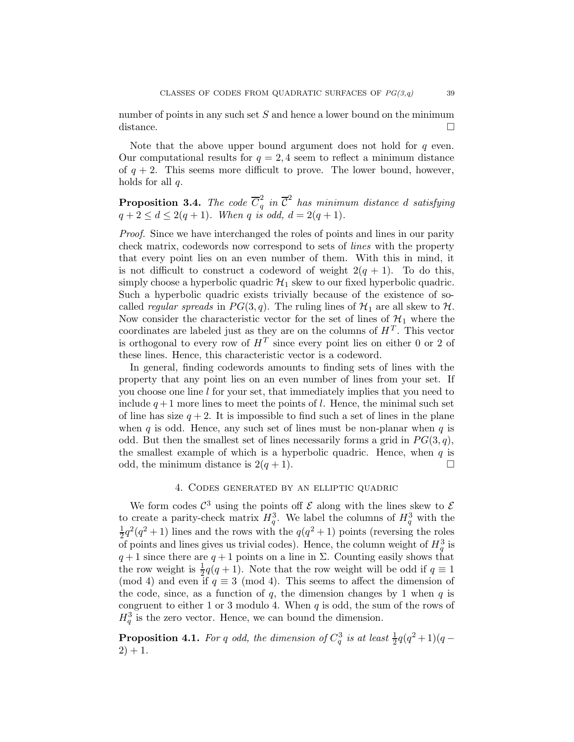number of points in any such set  $S$  and hence a lower bound on the minimum distance.

Note that the above upper bound argument does not hold for  $q$  even. Our computational results for  $q = 2, 4$  seem to reflect a minimum distance of  $q + 2$ . This seems more difficult to prove. The lower bound, however, holds for all  $q$ .

**Proposition 3.4.** The code  $\overline{C}_a^2$  $\overline{\mathcal{C}}^2$  in  $\overline{\mathcal{C}}^2$  has minimum distance d satisfying  $q + 2 \le d \le 2(q + 1)$ . When q is odd,  $d = 2(q + 1)$ .

Proof. Since we have interchanged the roles of points and lines in our parity check matrix, codewords now correspond to sets of lines with the property that every point lies on an even number of them. With this in mind, it is not difficult to construct a codeword of weight  $2(q + 1)$ . To do this, simply choose a hyperbolic quadric  $\mathcal{H}_1$  skew to our fixed hyperbolic quadric. Such a hyperbolic quadric exists trivially because of the existence of socalled *regular spreads* in  $PG(3, q)$ . The ruling lines of  $\mathcal{H}_1$  are all skew to  $\mathcal{H}$ . Now consider the characteristic vector for the set of lines of  $\mathcal{H}_1$  where the coordinates are labeled just as they are on the columns of  $H<sup>T</sup>$ . This vector is orthogonal to every row of  $H<sup>T</sup>$  since every point lies on either 0 or 2 of these lines. Hence, this characteristic vector is a codeword.

In general, finding codewords amounts to finding sets of lines with the property that any point lies on an even number of lines from your set. If you choose one line l for your set, that immediately implies that you need to include  $q+1$  more lines to meet the points of l. Hence, the minimal such set of line has size  $q + 2$ . It is impossible to find such a set of lines in the plane when q is odd. Hence, any such set of lines must be non-planar when  $q$  is odd. But then the smallest set of lines necessarily forms a grid in  $PG(3, q)$ , the smallest example of which is a hyperbolic quadric. Hence, when  $q$  is odd, the minimum distance is  $2(q + 1)$ .

## 4. Codes generated by an elliptic quadric

We form codes  $\mathcal{C}^3$  using the points off  $\mathcal E$  along with the lines skew to  $\mathcal E$ to create a parity-check matrix  $H_q^3$ . We label the columns of  $H_q^3$  with the 1  $\frac{1}{2}q^2(q^2+1)$  lines and the rows with the  $q(q^2+1)$  points (reversing the roles of points and lines gives us trivial codes). Hence, the column weight of  $H_q^3$  is  $q+1$  since there are  $q+1$  points on a line in  $\Sigma$ . Counting easily shows that the row weight is  $\frac{1}{2}q(q+1)$ . Note that the row weight will be odd if  $q \equiv 1$ (mod 4) and even if  $q \equiv 3 \pmod{4}$ . This seems to affect the dimension of the code, since, as a function of  $q$ , the dimension changes by 1 when  $q$  is congruent to either 1 or 3 modulo 4. When  $q$  is odd, the sum of the rows of  $H_q^3$  is the zero vector. Hence, we can bound the dimension.

**Proposition 4.1.** For q odd, the dimension of  $C_q^3$  is at least  $\frac{1}{2}q(q^2+1)(q-1)$  $2) + 1.$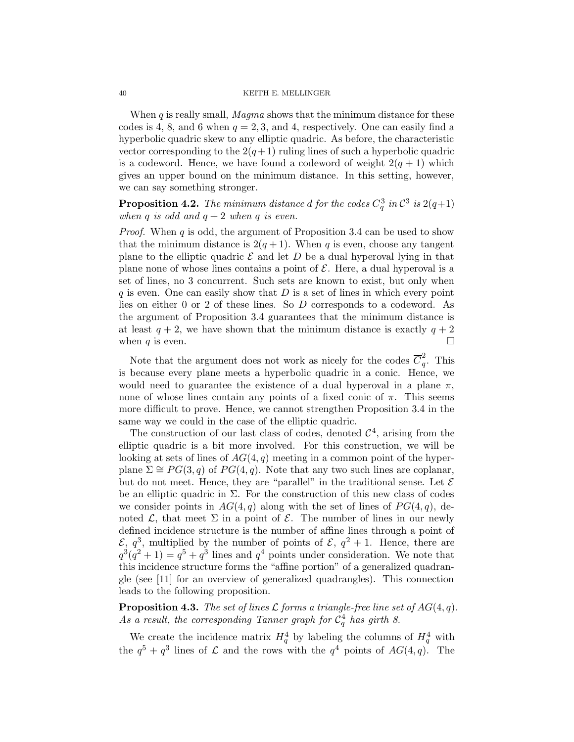#### 40 KEITH E. MELLINGER

When  $q$  is really small, *Magma* shows that the minimum distance for these codes is 4, 8, and 6 when  $q = 2, 3$ , and 4, respectively. One can easily find a hyperbolic quadric skew to any elliptic quadric. As before, the characteristic vector corresponding to the  $2(q+1)$  ruling lines of such a hyperbolic quadric is a codeword. Hence, we have found a codeword of weight  $2(q + 1)$  which gives an upper bound on the minimum distance. In this setting, however, we can say something stronger.

**Proposition 4.2.** The minimum distance d for the codes  $C_q^3$  in  $\mathcal{C}^3$  is  $2(q+1)$ when q is odd and  $q + 2$  when q is even.

*Proof.* When q is odd, the argument of Proposition 3.4 can be used to show that the minimum distance is  $2(q+1)$ . When q is even, choose any tangent plane to the elliptic quadric  $\mathcal E$  and let D be a dual hyperoval lying in that plane none of whose lines contains a point of  $\mathcal E$ . Here, a dual hyperoval is a set of lines, no 3 concurrent. Such sets are known to exist, but only when  $q$  is even. One can easily show that  $D$  is a set of lines in which every point lies on either 0 or 2 of these lines. So D corresponds to a codeword. As the argument of Proposition 3.4 guarantees that the minimum distance is at least  $q + 2$ , we have shown that the minimum distance is exactly  $q + 2$ when q is even.  $\Box$ 

Note that the argument does not work as nicely for the codes  $\overline{C}_q^2$  $_{q}^{2}$ . This is because every plane meets a hyperbolic quadric in a conic. Hence, we would need to guarantee the existence of a dual hyperoval in a plane  $\pi$ , none of whose lines contain any points of a fixed conic of  $\pi$ . This seems more difficult to prove. Hence, we cannot strengthen Proposition 3.4 in the same way we could in the case of the elliptic quadric.

The construction of our last class of codes, denoted  $\mathcal{C}^4$ , arising from the elliptic quadric is a bit more involved. For this construction, we will be looking at sets of lines of  $AG(4, q)$  meeting in a common point of the hyperplane  $\Sigma \cong PG(3, q)$  of  $PG(4, q)$ . Note that any two such lines are coplanar, but do not meet. Hence, they are "parallel" in the traditional sense. Let  $\mathcal E$ be an elliptic quadric in  $\Sigma$ . For the construction of this new class of codes we consider points in  $AG(4, q)$  along with the set of lines of  $PG(4, q)$ , denoted  $\mathcal{L}$ , that meet  $\Sigma$  in a point of  $\mathcal{E}$ . The number of lines in our newly defined incidence structure is the number of affine lines through a point of  $\mathcal{E}, q^3$ , multiplied by the number of points of  $\mathcal{E}, q^2 + 1$ . Hence, there are  $q^3(q^2+1) = q^5 + q^3$  lines and  $q^4$  points under consideration. We note that this incidence structure forms the "affine portion" of a generalized quadrangle (see [11] for an overview of generalized quadrangles). This connection leads to the following proposition.

**Proposition 4.3.** The set of lines L forms a triangle-free line set of  $AG(4, q)$ . As a result, the corresponding Tanner graph for  $C_q^4$  has girth 8.

We create the incidence matrix  $H_q^4$  by labeling the columns of  $H_q^4$  with the  $q^5 + q^3$  lines of  $\mathcal L$  and the rows with the  $q^4$  points of  $AG(4, q)$ . The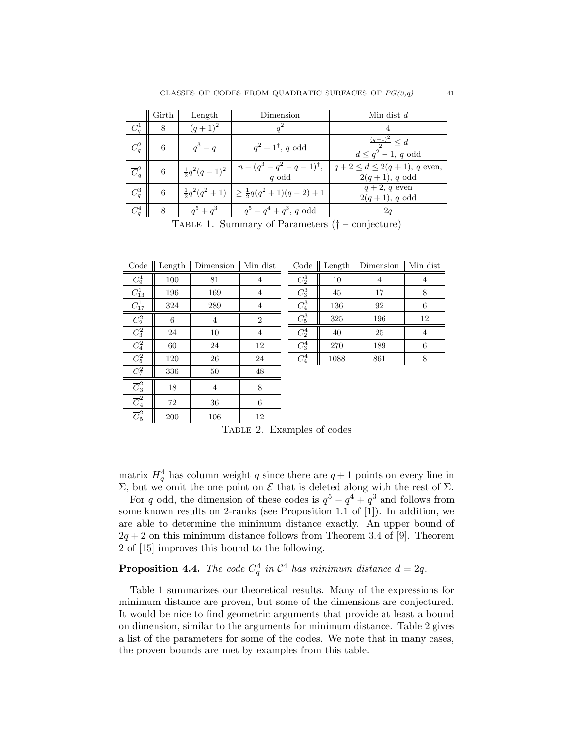|                                                                 | Girth | Length    | Dimension                                                 | Min dist $d$                                                                                                                                   |  |  |  |  |  |  |
|-----------------------------------------------------------------|-------|-----------|-----------------------------------------------------------|------------------------------------------------------------------------------------------------------------------------------------------------|--|--|--|--|--|--|
| $C_q^1$                                                         | 8     | $(q+1)^2$ |                                                           |                                                                                                                                                |  |  |  |  |  |  |
| $C_q^2$                                                         | 6     | $q^3-q$   | $q^2+1^{\dagger}$ , q odd                                 | $\frac{(q-1)^2}{2} \leq d$<br>$d \leq q^2 - 1$ , q odd                                                                                         |  |  |  |  |  |  |
| $\overline{C}_q^2$                                              | 6     |           |                                                           | $\frac{1}{2}q^2(q-1)^2$ $n - (q^3 - q^2 - q - 1)^{\dagger}$ , $q + 2 \le d \le 2(q+1)$ , q even,<br>$q \text{ odd}$<br>$2(q+1), q \text{ odd}$ |  |  |  |  |  |  |
| $C_q^3$                                                         | 6     |           | $\frac{1}{2}q^2(q^2+1)$ $\geq \frac{1}{2}q(q^2+1)(q-2)+1$ | $q+2$ , q even<br>$2(q+1), q \text{ odd}$                                                                                                      |  |  |  |  |  |  |
| $C_a^4$                                                         | 8     |           | $q^5 + q^3$ $q^5 - q^4 + q^3$ , q odd                     | 2q                                                                                                                                             |  |  |  |  |  |  |
| $T_{\text{ADIP}}$ 1 Summary of Daramators $/$<br>$\overline{a}$ |       |           |                                                           |                                                                                                                                                |  |  |  |  |  |  |

Table 1. Summary of Parameters († – conjecture)

| Code               | Length | Dimension      | Min dist       | Code $\parallel$ | Length | Dimension | Min dist       |
|--------------------|--------|----------------|----------------|------------------|--------|-----------|----------------|
| $C_9^1$            | 100    | 81             | 4              | $C_2^3$          | 10     | 4         | $\overline{4}$ |
| $C_{13}^1$         | 196    | 169            | 4              | $C_3^3$          | 45     | 17        | 8              |
| $C_{17}^1$         | 324    | 289            | 4              | $\mathbb{C}^3_4$ | 136    | 92        | 6              |
| $C_2^2$            | 6      | 4              | $\overline{2}$ | $C_5^3$          | 325    | 196       | 12             |
| $\mathbb{C}^2_3$   | 24     | 10             | $\overline{4}$ | $C_2^4$          | 40     | 25        | $\overline{4}$ |
| $\mathbb{C}^2_4$   | 60     | 24             | 12             | $C_3^4$          | 270    | 189       | 6              |
| $C_5^2$            | 120    | 26             | 24             | $C_4^4$          | 1088   | 861       | 8              |
| $C_7^2$            | 336    | 50             | 48             |                  |        |           |                |
| $\overline{C}_3^2$ | 18     | $\overline{4}$ | 8              |                  |        |           |                |
| $\overline{C}_4^2$ | 72     | 36             | 6              |                  |        |           |                |
| $\overline{C}_5^2$ | 200    | 106            | 12             |                  |        |           |                |

Table 2. Examples of codes

matrix  $H_q^4$  has column weight q since there are  $q+1$  points on every line in Σ, but we omit the one point on  $\mathcal E$  that is deleted along with the rest of Σ.

For q odd, the dimension of these codes is  $q^5 - q^4 + q^3$  and follows from some known results on 2-ranks (see Proposition 1.1 of [1]). In addition, we are able to determine the minimum distance exactly. An upper bound of  $2q + 2$  on this minimum distance follows from Theorem 3.4 of [9]. Theorem 2 of [15] improves this bound to the following.

# **Proposition 4.4.** The code  $C_q^4$  in  $\mathcal{C}^4$  has minimum distance  $d = 2q$ .

Table 1 summarizes our theoretical results. Many of the expressions for minimum distance are proven, but some of the dimensions are conjectured. It would be nice to find geometric arguments that provide at least a bound on dimension, similar to the arguments for minimum distance. Table 2 gives a list of the parameters for some of the codes. We note that in many cases, the proven bounds are met by examples from this table.